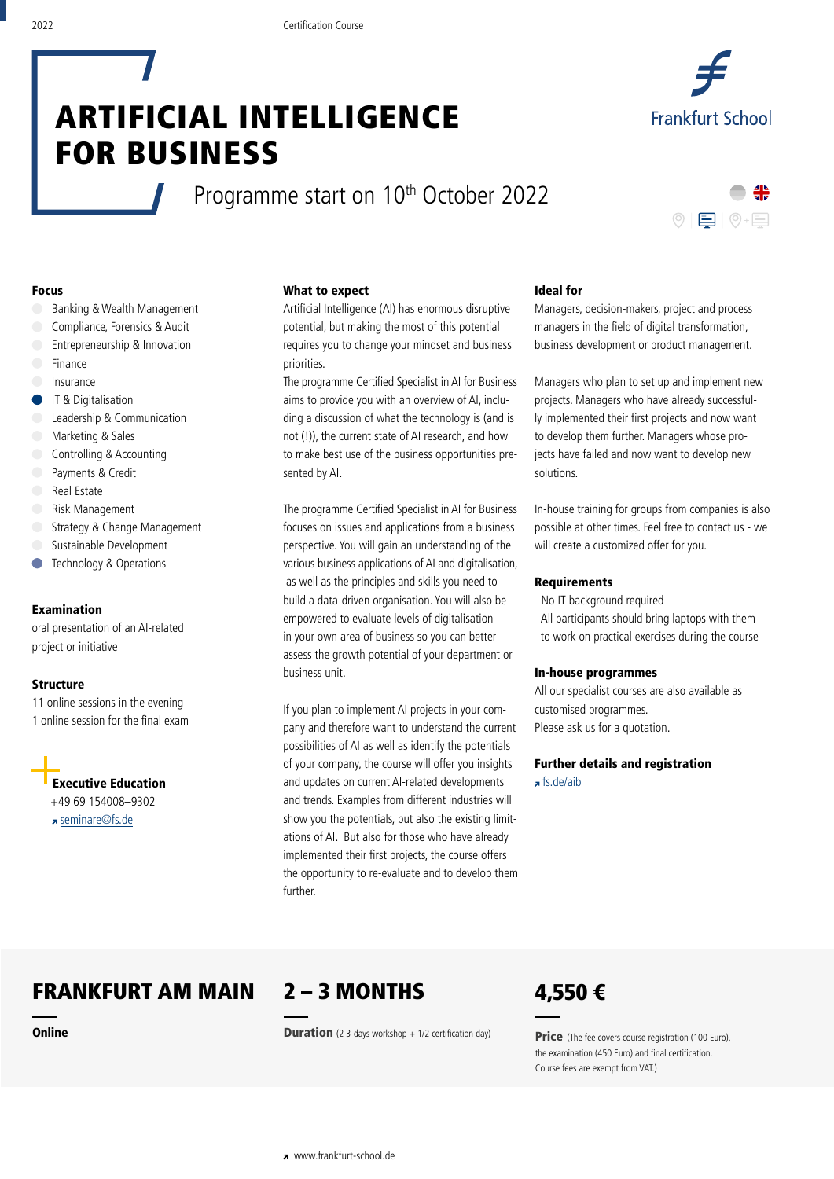# ARTIFICIAL INTELLIGENCE FOR BUSINESS

Programme start on 10<sup>th</sup> October 2022



**Frankfurt School** 

## Focus

- Banking & Wealth Management
- Compliance, Forensics & Audit
- Entrepreneurship & Innovation
- Finance
- Insurance
- **IT & Digitalisation**
- Leadership & Communication
- Marketing & Sales
- Controlling & Accounting
- Payments & Credit
- Real Estate
- Risk Management
- Strategy & Change Management
- Sustainable Development
- Technology & Operations  $\blacksquare$

# Examination

oral presentation of an AI-related project or initiative

### **Structure**

11 online sessions in the evening 1 online session for the final exam

Executive Education +49 69 154008–9302 seminare@fs.de

# What to expect

Artificial Intelligence (AI) has enormous disruptive potential, but making the most of this potential requires you to change your mindset and business priorities.

The programme Certified Specialist in AI for Business aims to provide you with an overview of AI, including a discussion of what the technology is (and is not (!)), the current state of AI research, and how to make best use of the business opportunities presented by AI.

The programme Certified Specialist in AI for Business focuses on issues and applications from a business perspective. You will gain an understanding of the various business applications of AI and digitalisation, as well as the principles and skills you need to build a data-driven organisation. You will also be empowered to evaluate levels of digitalisation in your own area of business so you can better assess the growth potential of your department or business unit.

If you plan to implement AI projects in your company and therefore want to understand the current possibilities of AI as well as identify the potentials of your company, the course will offer you insights and updates on current AI-related developments and trends. Examples from different industries will show you the potentials, but also the existing limitations of AI. But also for those who have already implemented their first projects, the course offers the opportunity to re-evaluate and to develop them further.

#### Ideal for

Managers, decision-makers, project and process managers in the field of digital transformation, business development or product management.

Managers who plan to set up and implement new projects. Managers who have already successfully implemented their first projects and now want to develop them further. Managers whose projects have failed and now want to develop new solutions.

In-house training for groups from companies is also possible at other times. Feel free to contact us - we will create a customized offer for you.

### Requirements

- No IT background required
- All participants should bring laptops with them to work on practical exercises during the course

#### In-house programmes

All our specialist courses are also available as customised programmes. Please ask us for a quotation.

Further details and registration fs.de/aib

# FRANKFURT AM MAIN

**Online** 



**Duration** (2 3-days workshop  $+$  1/2 certification day)



**Price** (The fee covers course registration (100 Euro), the examination (450 Euro) and final certification. Course fees are exempt from VAT.)